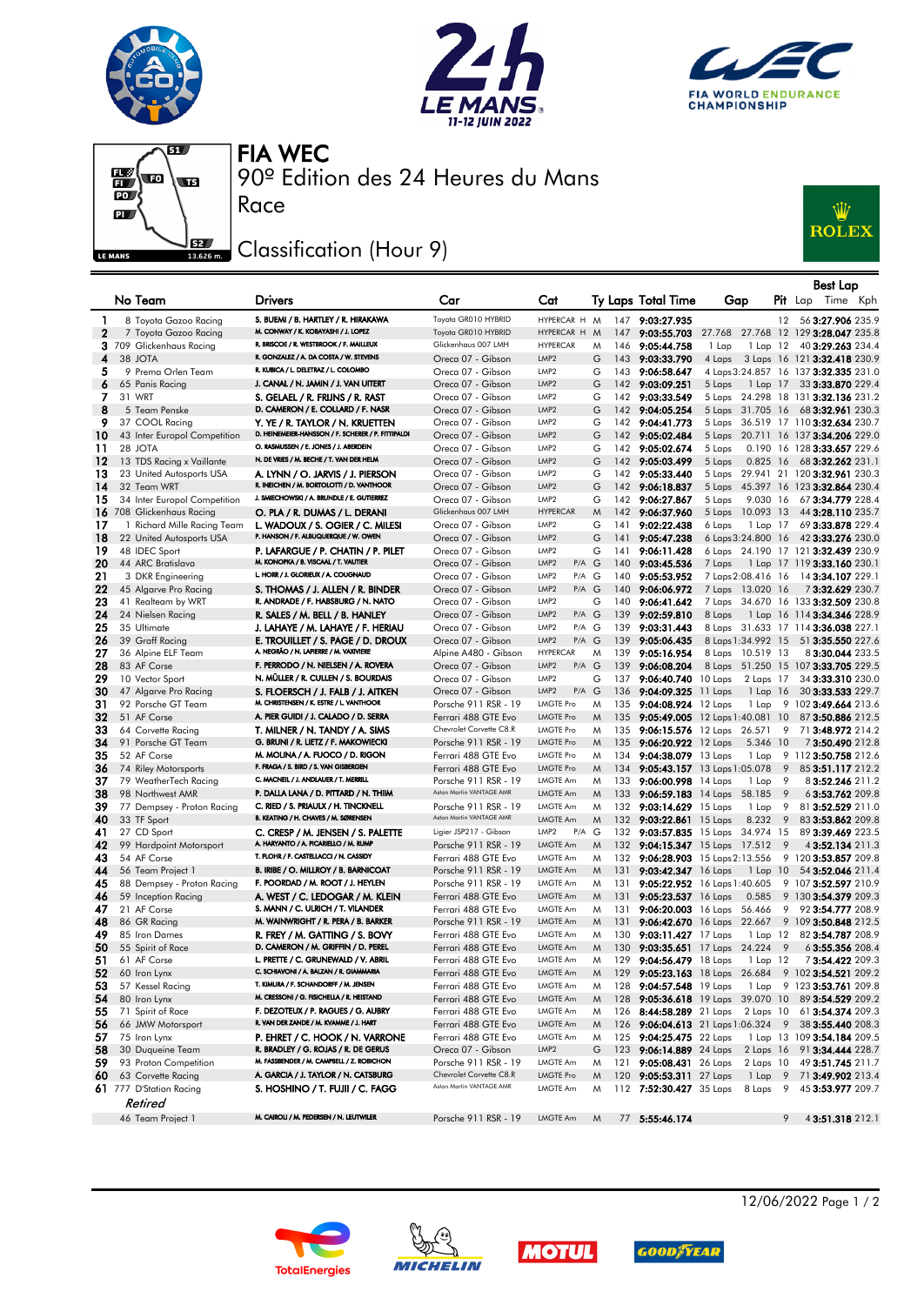







90º Edition des 24 Heures du Mans FIA WEC

## Classification (Hour 9)

Race



|              |                                  |                                                                                   |                                                  |                                        |        |     |                                    |                                                                     |                | Best Lap                                                           |  |
|--------------|----------------------------------|-----------------------------------------------------------------------------------|--------------------------------------------------|----------------------------------------|--------|-----|------------------------------------|---------------------------------------------------------------------|----------------|--------------------------------------------------------------------|--|
|              | No Team                          | <b>Drivers</b>                                                                    | Car                                              | Cat                                    |        |     | Ty Laps Total Time                 | Gap                                                                 |                | Pit Lap Time Kph                                                   |  |
| $\mathbf{1}$ | 8 Toyota Gazoo Racing            | S. BUEMI / B. HARTLEY / R. HIRAKAWA                                               | Toyota GR010 HYBRID                              | HYPERCAR H M                           |        |     | 147 9:03:27.935                    |                                                                     | 12             | 56 3:27.906 235.9                                                  |  |
| $\mathbf{2}$ | 7 Toyota Gazoo Racing            | M. CONWAY / K. KOBAYASHI / J. LOPEZ                                               | Toyota GR010 HYBRID                              | HYPERCAR H M                           |        |     | 147 9:03:55.703                    |                                                                     |                | 27.768 27.768 12 129 3:28.047 235.8                                |  |
|              | 3 709 Glickenhaus Racing         | R. BRISCOE / R. WESTBROOK / F. MAILLEUX<br>R. GONZALEZ / A. DA COSTA / W. STEVENS | Glickenhaus 007 LMH                              | <b>HYPERCAR</b>                        | M      |     | 146 9:05:44.758                    | 1 Lap                                                               |                | 1 Lap 12 40 3:29.263 234.4                                         |  |
| 4            | 38 JOTA                          | R. KUBICA / L. DELETRAZ / L. COLOMBO                                              | Oreca 07 - Gibson                                | LMP <sub>2</sub>                       | G      |     | 143 9:03:33.790                    | 4 Laps                                                              |                | 3 Laps 16 121 3:32.418 230.9                                       |  |
| 5            | 9 Prema Orlen Team               | J. CANAL / N. JAMIN / J. VAN UITERT                                               | Oreca 07 - Gibson                                | LMP <sub>2</sub><br>LMP <sub>2</sub>   | G      |     | 143 9:06:58.647                    |                                                                     |                | 4 Laps 3:24.857 16 137 3:32.335 231.0                              |  |
| 6<br>7       | 65 Panis Racing<br>31 WRT        | S. GELAEL / R. FRIJNS / R. RAST                                                   | Oreca 07 - Gibson<br>Oreca 07 - Gibson           | LMP <sub>2</sub>                       | G<br>G |     | 142 9:03:09.251<br>142 9:03:33.549 | 5 Laps                                                              |                | 1 Lap 17 33 3:33.870 229.4<br>5 Laps 24.298 18 131 3:32.136 231.2  |  |
| 8            | 5 Team Penske                    | D. CAMERON / E. COLLARD / F. NASR                                                 | Oreca 07 - Gibson                                | LMP <sub>2</sub>                       | G      |     | 142 9:04:05.254                    |                                                                     |                | 5 Laps 31.705 16 68 3:32.961 230.3                                 |  |
| 9            | 37 COOL Racing                   | Y. YE / R. TAYLOR / N. KRUETTEN                                                   | Oreca 07 - Gibson                                | LMP <sub>2</sub>                       | G      |     | 142 9:04:41.773                    |                                                                     |                | 5 Laps 36.519 17 110 3:32.634 230.7                                |  |
| 10           | 43 Inter Europol Competition     | D. HEINEMEIER-HANSSON / F. SCHERER / P. FITTIPALDI                                | Oreca 07 - Gibson                                | LMP <sub>2</sub>                       | G      |     | 142 9:05:02.484                    |                                                                     |                | 5 Laps 20.711 16 137 3:34.206 229.0                                |  |
| 11           | 28 JOTA                          | O. RASMUSSEN / E. JONES / J. ABERDEIN                                             | Oreca 07 - Gibson                                | LMP <sub>2</sub>                       | G      |     | 142 9:05:02.674                    | 5 Laps                                                              |                | 0.190 16 128 3:33.657 229.6                                        |  |
| 12           | 13 TDS Racing x Vaillante        | N. DE VRIES / M. BECHE / T. VAN DER HELM                                          | Oreca 07 - Gibson                                | LMP <sub>2</sub>                       | G      |     | 142 9:05:03.499                    | 5 Laps                                                              | $0.825$ 16     | 68 3:32.262 231.1                                                  |  |
| 13           | 23 United Autosports USA         | A. LYNN / O. JARVIS / J. PIERSON                                                  | Oreca 07 - Gibson                                | LMP <sub>2</sub>                       | G      |     | 142 9:05:33.440                    |                                                                     |                | 5 Laps 29.941 21 120 3:32.961 230.3                                |  |
| 14           | 32 Team WRT                      | R. INEICHEN / M. BORTOLOTTI / D. VANTHOOR                                         | Oreca 07 - Gibson                                | LMP <sub>2</sub>                       | G      |     | 142 9:06:18.837                    |                                                                     |                | 5 Laps 45.397 16 123 3:32.864 230.4                                |  |
| 15           | 34 Inter Europol Competition     | J. SMIECHOWSKI / A. BRUNDLE / E. GUTIERREZ                                        | Oreca 07 - Gibson                                | LMP <sub>2</sub>                       | G      | 142 | 9:06:27.867                        | 5 Laps                                                              | 9.030 16       | 67 3:34.779 228.4                                                  |  |
|              | 16 708 Glickenhaus Racing        | O. PLA / R. DUMAS / L. DERANI                                                     | Glickenhaus 007 LMH                              | <b>HYPERCAR</b>                        | M      |     | 142 9:06:37.960                    | 5 Laps 10.093 13                                                    |                | 44 3:28.110 235.7                                                  |  |
| 17           | 1 Richard Mille Racing Team      | L. WADOUX / S. OGIER / C. MILESI                                                  | Oreca 07 - Gibson                                | LMP <sub>2</sub>                       | G      | 141 | 9:02:22.438                        | 6 Laps                                                              | 1 Lap 17       | 69 3:33.878 229.4                                                  |  |
| 18           | 22 United Autosports USA         | P. HANSON / F. ALBUQUERQUE / W. OWEN                                              | Oreca 07 - Gibson                                | LMP <sub>2</sub>                       | G      | 141 | 9:05:47.238                        | 6 Laps 3:24.800 16                                                  |                | 42 3:33.276 230.0                                                  |  |
| 19           | 48 IDEC Sport                    | P. LAFARGUE / P. CHATIN / P. PILET                                                | Oreca 07 - Gibson                                | LMP <sub>2</sub>                       | G      | 141 | 9:06:11.428                        |                                                                     |                | 6 Laps 24.190 17 121 3:32.439 230.9                                |  |
| 20           | 44 ARC Bratislava                | M. KONOPKA / B. VISCAAL / T. VAUTIER                                              | Oreca 07 - Gibson                                | LMP <sub>2</sub><br>$P/A$ $G$          |        | 140 | 9:03:45.536                        | 7 Laps                                                              |                | 1 Lap 17 119 3:33.160 230.1                                        |  |
| 21           | 3 DKR Engineering                | L. HORR / J. GLORIEUX / A. COUGNAUD                                               | Oreca 07 - Gibson                                | LMP <sub>2</sub><br>P/A G              |        | 140 | 9:05:53.952                        | 7 Laps 2:08.416 16                                                  |                | 14 3:34.107 229.1                                                  |  |
| 22           | 45 Algarve Pro Racing            | S. THOMAS / J. ALLEN / R. BINDER<br>R. ANDRADE / F. HABSBURG / N. NATO            | Oreca 07 - Gibson                                | LMP <sub>2</sub><br>$P/A$ $G$          |        |     | 140 9:06:06.972                    | 7 Laps 13.020 16                                                    |                | 73:32.629 230.7                                                    |  |
| 23           | 41 Realteam by WRT               |                                                                                   | Oreca 07 - Gibson                                | LMP <sub>2</sub><br>LMP <sub>2</sub>   | G      | 140 | 9:06:41.642                        |                                                                     |                | 7 Laps 34.670 16 133 3:32.509 230.8                                |  |
| 24<br>25     | 24 Nielsen Racing<br>35 Ultimate | R. SALES / M. BELL / B. HANLEY                                                    | Oreca 07 - Gibson<br>Oreca 07 - Gibson           | $P/A$ $G$<br>LMP <sub>2</sub><br>P/A G |        | 139 | 139 9:02:59.810<br>9:03:31.443     | 8 Laps                                                              |                | 1 Lap 16 114 3:34.346 228.9<br>8 Laps 31.633 17 114 3:36.038 227.1 |  |
| 26           | 39 Graff Racing                  | J. LAHAYE / M. LAHAYE / F. HERIAU<br>E. TROUILLET / S. PAGE / D. DROUX            | Oreca 07 - Gibson                                | LMP <sub>2</sub><br>$P/A$ $G$          |        | 139 | 9:05:06.435                        | 8 Laps 1:34.992 15                                                  |                | 51 3:35.550 227.6                                                  |  |
| 27           | 36 Alpine ELF Team               | A. NEGRÃO / N. LAPIERRE / M. VAXIVIERE                                            | Alpine A480 - Gibson                             | <b>HYPERCAR</b>                        | M      | 139 | 9:05:16.954                        | 8 Laps 10.519 13                                                    |                | 83:30.044 233.5                                                    |  |
| 28           | 83 AF Corse                      | F. PERRODO / N. NIELSEN / A. ROVERA                                               | Oreca 07 - Gibson                                | LMP <sub>2</sub><br>$P/A$ $G$          |        | 139 | 9:06:08.204                        |                                                                     |                | 8 Laps 51.250 15 107 3:33.705 229.5                                |  |
| 29           | 10 Vector Sport                  | N. MÜLLER / R. CULLEN / S. BOURDAIS                                               | Oreca 07 - Gibson                                | LMP <sub>2</sub>                       | G      | 137 | 9:06:40.740 10 Laps                | 2 Laps 17                                                           |                | 34 3:33.310 230.0                                                  |  |
| 30           | 47 Algarve Pro Racing            | S. FLOERSCH / J. FALB / J. AITKEN                                                 | Oreca 07 - Gibson                                | LMP <sub>2</sub><br>$P/A$ $G$          |        |     | 136 9:04:09.325                    | 11 Laps                                                             | 1 Lap 16       | 30 3:33.533 229.7                                                  |  |
| 31           | 92 Porsche GT Team               | M. CHRISTENSEN / K. ESTRE / L. VANTHOOR                                           | Porsche 911 RSR - 19                             | <b>LMGTE Pro</b>                       | M      | 135 | 9:04:08.924 12 Laps                | 1 Lap                                                               |                | 9 102 3:49.664 213.6                                               |  |
| 32           | 51 AF Corse                      | A. PIER GUIDI / J. CALADO / D. SERRA                                              | Ferrari 488 GTE Evo                              | <b>LMGTE Pro</b>                       | M      |     |                                    | 135 9:05:49.005 12 Laps 1:40.081 10                                 |                | 87 3:50.886 212.5                                                  |  |
| 33           | 64 Corvette Racing               | T. MILNER / N. TANDY / A. SIMS                                                    | Chevrolet Corvette C8.R                          | <b>LMGTE Pro</b>                       | M      | 135 |                                    | 9:06:15.576 12 Laps 26.571                                          | - 9            | 71 3:48.972 214.2                                                  |  |
| 34           | 91 Porsche GT Team               | G. BRUNI / R. LIETZ / F. MAKOWIECKI                                               | Porsche 911 RSR - 19                             | <b>LMGTE Pro</b>                       | M      | 135 | 9:06:20.922 12 Laps                | 5.346 10                                                            |                | 73:50.490 212.8                                                    |  |
| 35           | 52 AF Corse                      | M. MOLINA / A. FUOCO / D. RIGON                                                   | Ferrari 488 GTE Evo                              | LMGTE Pro                              | M      | 134 | 9:04:38.079 13 Laps                | 1 Lap                                                               |                | 9 112 3:50.758 212.6                                               |  |
| 36           | 74 Riley Motorsports             | F. FRAGA / S. BIRD / S. VAN GISBERGEN                                             | Ferrari 488 GTE Evo                              | <b>LMGTE Pro</b>                       | M      |     |                                    | 134 9:05:43.157 13 Laps 1:05.078                                    | - 9            | 85 3:51.117 212.2                                                  |  |
| 37           | 79 WeatherTech Racing            | C. MACNEIL / J. ANDLAUER / T. MERRILL                                             | Porsche 911 RSR - 19                             | LMGTE Am                               | M      | 133 | 9:06:00.998 14 Laps                | 1 Lap                                                               | - 9            | 8 3:52.246 211.2                                                   |  |
| 38           | 98 Northwest AMR                 | P. DALLA LANA / D. PITTARD / N. THIIM                                             | Aston Martin VANTAGE AMR                         | <b>LMGTE Am</b>                        | M      |     | 133 9:06:59.183 14 Laps            | 58.185                                                              | 9              | 6 3:53.762 209.8                                                   |  |
| 39           | 77 Dempsey - Proton Racing       | C. RIED / S. PRIAULX / H. TINCKNELL<br>B. KEATING / H. CHAVES / M. SØRENSEN       | Porsche 911 RSR - 19<br>Aston Martin VANTAGE AMR | LMGTE Am                               | M      | 132 | $9:03:14.629$ 15 Laps              | 1 Lap                                                               | - 9            | 81 3:52.529 211.0                                                  |  |
| 40<br>41     | 33 TF Sport<br>27 CD Sport       | C. CRESP / M. JENSEN / S. PALETTE                                                 | Ligier JSP217 - Gibson                           | LMGTE Am<br>$P/A$ $G$<br>LMP2          | M      |     | 132 9:03:22.861 15 Laps            | 8.232                                                               | $\overline{9}$ | 83 3:53.862 209.8<br>89 3:39.469 223.5                             |  |
| 42           | 99 Hardpoint Motorsport          | A. HARYANTO / A. PICARIELLO / M. RUMP                                             | Porsche 911 RSR - 19                             | LMGTE Am                               | M      |     |                                    | 132 9:03:57.835 15 Laps 34.974 15<br>132 9:04:15.347 15 Laps 17.512 | 9              | 4 3:52.134 211.3                                                   |  |
| 43           | 54 AF Corse                      | T. FLOHR / F. CASTELLACCI / N. CASSIDY                                            | Ferrari 488 GTE Evo                              | LMGTE Am                               | M      |     |                                    | 132 9:06:28.903 15 Laps 2:13.556                                    |                | 9 120 3:53.857 209.8                                               |  |
| 44           | 56 Team Project 1                | B. IRIBE / O. MILLROY / B. BARNICOAT                                              | Porsche 911 RSR - 19                             | LMGTE Am                               | M      | 131 | 9:03:42.347 16 Laps                |                                                                     | $1$ Lap $10$   | 54 3:52.046 211.4                                                  |  |
| 45           | 88 Dempsey - Proton Racing       | F. POORDAD / M. ROOT / J. HEYLEN                                                  | Porsche 911 RSR - 19                             | LMGTE Am                               | M      | 131 |                                    | 9:05:22.952 16 Laps 1:40.605                                        |                | 9 107 3:52.597 210.9                                               |  |
| 46           | 59 Inception Racing              | A. WEST / C. LEDOGAR / M. KLEIN                                                   | Ferrari 488 GTE Evo                              | LMGTE Am                               | M      | 131 | $9:05:23.537$ 16 Laps              | 0.585                                                               |                | 9 130 3:54.379 209.3                                               |  |
| 47           | 21 AF Corse                      | S. MANN / C. ULRICH / T. VILANDER                                                 | Ferrari 488 GTE Evo                              | LMGTE Am                               | M      | 131 |                                    | 9:06:20.003 16 Laps 56.466                                          | 9              | 92 3:54.777 208.9                                                  |  |
| 48           | 86 GR Racing                     | M. WAINWRIGHT / R. PERA / B. BARKER                                               | Porsche 911 RSR - 19                             | LMGTE Am                               | M      | 131 |                                    | 9:06:42.670 16 Laps 22.667                                          |                | 9 109 3:50.848 212.5                                               |  |
| 49           | 85 Iron Dames                    | R. FREY / M. GATTING / S. BOVY                                                    | Ferrari 488 GTE Evo                              | LMGTE Am                               | M      | 130 | 9:03:11.427 17 Laps                |                                                                     | 1 Lap 12       | 82 3:54.787 208.9                                                  |  |
| 50           | 55 Spirit of Race                | D. CAMERON / M. GRIFFIN / D. PEREL                                                | Ferrari 488 GTE Evo                              | LMGTE Am                               | M      |     |                                    | 130 9:03:35.651 17 Laps 24.224 9                                    |                | 63:55.356 208.4                                                    |  |
| 51           | 61 AF Corse                      | L. PRETTE / C. GRUNEWALD / V. ABRIL                                               | Ferrari 488 GTE Evo                              | LMGTE Am                               | M      |     |                                    | 129 9:04:56.479 18 Laps 1 Lap 12                                    |                | 73:54.422 209.3                                                    |  |
| 52           | 60 Iron Lynx                     | C. SCHIAVONI / A. BALZAN / R. GIAMMARIA                                           | Ferrari 488 GTE Evo                              | LMGTE Am                               | M      |     |                                    |                                                                     |                | 129 9:05:23.163 18 Laps 26.684 9 102 3:54.521 209.2                |  |
| 53           | 57 Kessel Racing                 | T. KIMURA / F. SCHANDORFF / M. JENSEN                                             | Ferrari 488 GTE Evo                              | LMGTE Am                               | M      |     | 128 9:04:57.548 19 Laps            |                                                                     |                | 1 Lap 9 123 3:53.761 209.8                                         |  |
| 54           | 80 Iron Lynx                     | M. CRESSONI / G. FISICHELLA / R. HEISTAND                                         | Ferrari 488 GTE Evo                              | LMGTE Am                               | M      |     |                                    | 128 9:05:36.618 19 Laps 39.070 10                                   |                | 89 3:54.529 209.2                                                  |  |
| 55           | 71 Spirit of Race                | F. DEZOTEUX / P. RAGUES / G. AUBRY<br>R. VAN DER ZANDE / M. KVAMME / J. HART      | Ferrari 488 GTE Evo                              | LMGTE Am                               | M      | 126 | 8:44:58.289 21 Laps                | 2 Laps 10                                                           |                | 61 3:54.374 209.3                                                  |  |
| 56           | 66 JMW Motorsport                |                                                                                   | Ferrari 488 GTE Evo                              | LMGTE Am<br>LMGTE Am                   | M      |     | 125 9:04:25.475 22 Laps            | 126 9:06:04.613 21 Laps 1:06.324 9                                  |                | 38 3:55.440 208.3                                                  |  |
| 57<br>58     | 75 Iron Lynx<br>30 Duqueine Team | P. EHRET / C. HOOK / N. VARRONE<br>R. BRADLEY / G. ROJAS / R. DE GERUS            | Ferrari 488 GTE Evo<br>Oreca 07 - Gibson         | LMP <sub>2</sub>                       | M<br>G |     | 123 9:06:14.889 24 Laps            |                                                                     |                | 1 Lap 13 109 3:54.184 209.5<br>2 Laps 16 91 3:34.444 228.7         |  |
| 59           | 93 Proton Competition            | M. FASSBENDER / M. CAMPBELL / Z. ROBICHON                                         | Porsche 911 RSR - 19                             | LMGTE Am                               | M      | 121 | 9:05:08.431 26 Laps                | $2$ Laps $10$                                                       |                | 49 3:51.745 211.7                                                  |  |
| 60           | 63 Corvette Racing               | A. GARCIA / J. TAYLOR / N. CATSBURG                                               | Chevrolet Corvette C8.R                          | <b>LMGTE Pro</b>                       | M      |     | 120 9:05:53.311 27 Laps            | 1 Lap 9                                                             |                | 71 3:49.902 213.4                                                  |  |
|              | 61 777 D'Station Racing          | S. HOSHINO / T. FUJII / C. FAGG                                                   | Aston Martin VANTAGE AMR                         | LMGTE Am                               | M      |     |                                    | 112 7:52:30.427 35 Laps 8 Laps 9                                    |                | 45 3:53.977 209.7                                                  |  |
|              | Retired                          |                                                                                   |                                                  |                                        |        |     |                                    |                                                                     |                |                                                                    |  |
|              | 46 Team Project 1                | M. CAIROLI / M. PEDERSEN / N. LEUTWILER                                           | Porsche 911 RSR - 19                             | LMGTE Am                               | M      |     | 77 5:55:46.174                     |                                                                     | 9              | 43:51.318 212.1                                                    |  |









12/06/2022 Page 1 / 2